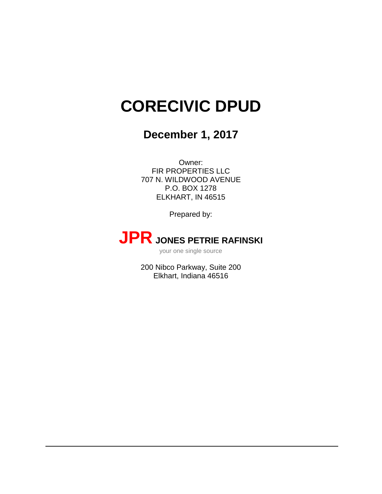# **CORECIVIC DPUD**

# **December 1, 2017**

Owner: FIR PROPERTIES LLC 707 N. WILDWOOD AVENUE P.O. BOX 1278 ELKHART, IN 46515

Prepared by:

# **JPR JONES PETRIE RAFINSKI**

your one single source

200 Nibco Parkway, Suite 200 Elkhart, Indiana 46516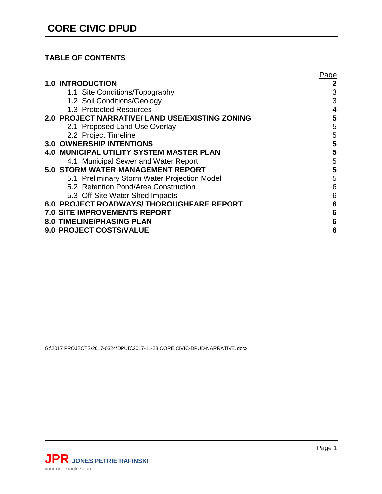# **TABLE OF CONTENTS**

|     |                                                        | Paqe |
|-----|--------------------------------------------------------|------|
|     | <b>1.0 INTRODUCTION</b>                                | 2    |
|     | 1.1 Site Conditions/Topography                         | 3    |
|     | 1.2 Soil Conditions/Geology                            | 3    |
|     | 1.3 Protected Resources                                | 4    |
|     | <b>2.0 PROJECT NARRATIVE/ LAND USE/EXISTING ZONING</b> | 5    |
|     | 2.1 Proposed Land Use Overlay                          | 5    |
|     | 2.2 Project Timeline                                   | 5    |
|     | <b>3.0 OWNERSHIP INTENTIONS</b>                        | 5    |
| 4.0 | <b>MUNICIPAL UTILITY SYSTEM MASTER PLAN</b>            | 5    |
|     | 4.1 Municipal Sewer and Water Report                   | 5    |
|     | <b>5.0 STORM WATER MANAGEMENT REPORT</b>               | 5    |
|     | 5.1 Preliminary Storm Water Projection Model           | 5    |
|     | 5.2 Retention Pond/Area Construction                   | 6    |
|     | 5.3 Off-Site Water Shed Impacts                        | 6    |
|     | 6.0 PROJECT ROADWAYS/ THOROUGHFARE REPORT              | 6    |
|     | <b>7.0 SITE IMPROVEMENTS REPORT</b>                    | 6    |
|     | <b>8.0 TIMELINE/PHASING PLAN</b>                       | 6    |
|     | 9.0 PROJECT COSTS/VALUE                                | 6    |
|     |                                                        |      |

G:\2017 PROJECTS\2017-0324\DPUD\2017-11-28 CORE CIVIC-DPUD-NARRATIVE.docx

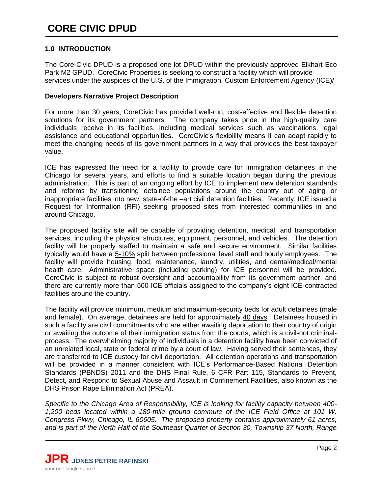# <span id="page-3-0"></span>**1.0 INTRODUCTION**

The Core-Civic DPUD is a proposed one lot DPUD within the previously approved Elkhart Eco Park M2 GPUD. CoreCivic Properties is seeking to construct a facility which will provide services under the auspices of the U.S. of the Immigration, Custom Enforcement Agency (ICE)/

# **Developers Narrative Project Description**

For more than 30 years, CoreCivic has provided well-run, cost-effective and flexible detention solutions for its government partners. The company takes pride in the high-quality care individuals receive in its facilities, including medical services such as vaccinations, legal assistance and educational opportunities. CoreCivic's flexibility means it can adapt rapidly to meet the changing needs of its government partners in a way that provides the best taxpayer value.

ICE has expressed the need for a facility to provide care for immigration detainees in the Chicago for several years, and efforts to find a suitable location began during the previous administration. This is part of an ongoing effort by ICE to implement new detention standards and reforms by transitioning detainee populations around the country out of aging or inappropriate facilities into new, state-of-the –art civil detention facilities. Recently, ICE issued a Request for Information (RFI) seeking proposed sites from interested communities in and around Chicago.

The proposed facility site will be capable of providing detention, medical, and transportation services, including the physical structures, equipment, personnel, and vehicles. The detention facility will be properly staffed to maintain a safe and secure environment. Similar facilities typically would have a 5-10% split between professional level staff and hourly employees. The facility will provide housing, food, maintenance, laundry, utilities, and dental/medical/mental health care. Administrative space (including parking) for ICE personnel will be provided. CoreCivic is subject to robust oversight and accountability from its government partner, and there are currently more than 500 ICE officials assigned to the company's eight ICE-contracted facilities around the country.

The facility will provide minimum, medium and maximum-security beds for adult detainees (male and female). On average, detainees are held for approximately 40 days. Detainees housed in such a facility are civil commitments who are either awaiting deportation to their country of origin or awaiting the outcome of their immigration status from the courts, which is a civil-not criminalprocess. The overwhelming majority of individuals in a detention facility have been convicted of an unrelated local, state or federal crime by a court of law. Having served their sentences, they are transferred to ICE custody for civil deportation. All detention operations and transportation will be provided in a manner consistent with ICE's Performance-Based National Detention Standards (PBNDS) 2011 and the DHS Final Rule, 6 CFR Part 115, Standards to Prevent, Detect, and Respond to Sexual Abuse and Assault in Confinement Facilities, also known as the DHS Prison Rape Elimination Act (PREA).

*Specific to the Chicago Area of Responsibility, ICE is looking for facility capacity between 400- 1,200 beds located within a 180-mile ground commute of the ICE Field Office at 101 W. Congress Pkwy, Chicago, IL 60605. The proposed property contains approximately 61 acres, and is part of the North Half of the Southeast Quarter of Section 30, Township 37 North, Range* 

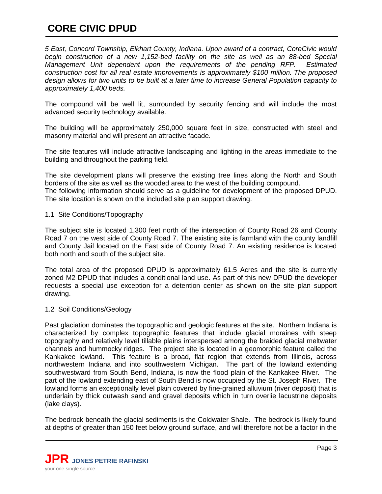# **CORE CIVIC DPUD**

*5 East, Concord Township, Elkhart County, Indiana. Upon award of a contract, CoreCivic would begin construction of a new 1,152-bed facility on the site as well as an 88-bed Special Management Unit dependent upon the requirements of the pending RFP. Estimated construction cost for all real estate improvements is approximately \$100 million. The proposed design allows for two units to be built at a later time to increase General Population capacity to approximately 1,400 beds.* 

The compound will be well lit, surrounded by security fencing and will include the most advanced security technology available.

The building will be approximately 250,000 square feet in size, constructed with steel and masonry material and will present an attractive facade.

The site features will include attractive landscaping and lighting in the areas immediate to the building and throughout the parking field.

The site development plans will preserve the existing tree lines along the North and South borders of the site as well as the wooded area to the west of the building compound.

The following information should serve as a guideline for development of the proposed DPUD. The site location is shown on the included site plan support drawing.

# <span id="page-4-0"></span>1.1 Site Conditions/Topography

The subject site is located 1,300 feet north of the intersection of County Road 26 and County Road 7 on the west side of County Road 7. The existing site is farmland with the county landfill and County Jail located on the East side of County Road 7. An existing residence is located both north and south of the subject site.

The total area of the proposed DPUD is approximately 61.5 Acres and the site is currently zoned M2 DPUD that includes a conditional land use. As part of this new DPUD the developer requests a special use exception for a detention center as shown on the site plan support drawing.

# <span id="page-4-1"></span>1.2 Soil Conditions/Geology

Past glaciation dominates the topographic and geologic features at the site. Northern Indiana is characterized by complex topographic features that include glacial moraines with steep topography and relatively level tillable plains interspersed among the braided glacial meltwater channels and hummocky ridges. The project site is located in a geomorphic feature called the Kankakee lowland. This feature is a broad, flat region that extends from Illinois, across northwestern Indiana and into southwestern Michigan. The part of the lowland extending southwestward from South Bend, Indiana, is now the flood plain of the Kankakee River. The part of the lowland extending east of South Bend is now occupied by the St. Joseph River. The lowland forms an exceptionally level plain covered by fine-grained alluvium (river deposit) that is underlain by thick outwash sand and gravel deposits which in turn overlie lacustrine deposits (lake clays).

The bedrock beneath the glacial sediments is the Coldwater Shale. The bedrock is likely found at depths of greater than 150 feet below ground surface, and will therefore not be a factor in the

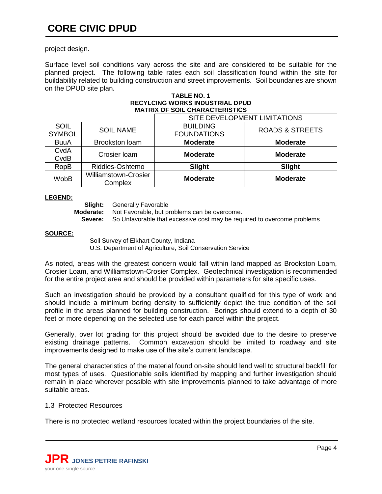# **CORE CIVIC DPUD**

project design.

Surface level soil conditions vary across the site and are considered to be suitable for the planned project. The following table rates each soil classification found within the site for buildability related to building construction and street improvements. Soil boundaries are shown on the DPUD site plan.

#### **TABLE NO. 1 RECYLCING WORKS INDUSTRIAL DPUD MATRIX OF SOIL CHARACTERISTICS**

|                              |                                        | SITE DEVELOPMENT LIMITATIONS          |                            |
|------------------------------|----------------------------------------|---------------------------------------|----------------------------|
| <b>SOIL</b><br><b>SYMBOL</b> | <b>SOIL NAME</b>                       | <b>BUILDING</b><br><b>FOUNDATIONS</b> | <b>ROADS &amp; STREETS</b> |
| <b>BuuA</b>                  | <b>Brookston loam</b>                  | <b>Moderate</b>                       | <b>Moderate</b>            |
| CvdA<br>CvdB                 | Crosier Ioam                           | <b>Moderate</b>                       | <b>Moderate</b>            |
| <b>RopB</b>                  | Riddles-Oshtemo                        | Slight                                | Slight                     |
| <b>WobB</b>                  | <b>Williamstown-Crosier</b><br>Complex | <b>Moderate</b>                       | <b>Moderate</b>            |

# **LEGEND:**

**Slight:** Generally Favorable

**Moderate:** Not Favorable, but problems can be overcome.

**Severe:** So Unfavorable that excessive cost may be required to overcome problems

# **SOURCE:**

Soil Survey of Elkhart County, Indiana U.S. Department of Agriculture, Soil Conservation Service

As noted, areas with the greatest concern would fall within land mapped as Brookston Loam, Crosier Loam, and Williamstown-Crosier Complex. Geotechnical investigation is recommended for the entire project area and should be provided within parameters for site specific uses.

Such an investigation should be provided by a consultant qualified for this type of work and should include a minimum boring density to sufficiently depict the true condition of the soil profile in the areas planned for building construction. Borings should extend to a depth of 30 feet or more depending on the selected use for each parcel within the project.

Generally, over lot grading for this project should be avoided due to the desire to preserve existing drainage patterns. Common excavation should be limited to roadway and site improvements designed to make use of the site's current landscape.

The general characteristics of the material found on-site should lend well to structural backfill for most types of uses. Questionable soils identified by mapping and further investigation should remain in place wherever possible with site improvements planned to take advantage of more suitable areas.

# <span id="page-5-0"></span>1.3 Protected Resources

<span id="page-5-1"></span>There is no protected wetland resources located within the project boundaries of the site.

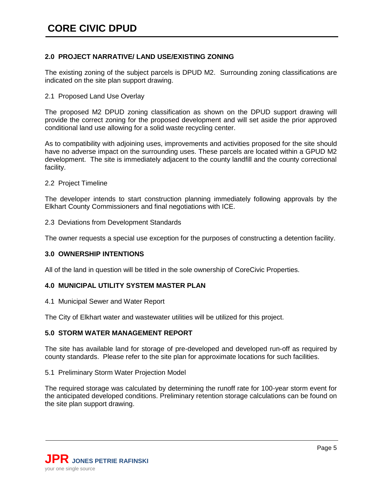# **2.0 PROJECT NARRATIVE/ LAND USE/EXISTING ZONING**

The existing zoning of the subject parcels is DPUD M2. Surrounding zoning classifications are indicated on the site plan support drawing.

# <span id="page-6-0"></span>2.1 Proposed Land Use Overlay

The proposed M2 DPUD zoning classification as shown on the DPUD support drawing will provide the correct zoning for the proposed development and will set aside the prior approved conditional land use allowing for a solid waste recycling center.

As to compatibility with adjoining uses, improvements and activities proposed for the site should have no adverse impact on the surrounding uses. These parcels are located within a GPUD M2 development. The site is immediately adjacent to the county landfill and the county correctional facility.

# <span id="page-6-1"></span>2.2 Project Timeline

The developer intends to start construction planning immediately following approvals by the Elkhart County Commissioners and final negotiations with ICE.

2.3 Deviations from Development Standards

The owner requests a special use exception for the purposes of constructing a detention facility.

# <span id="page-6-2"></span>**3.0 OWNERSHIP INTENTIONS**

All of the land in question will be titled in the sole ownership of CoreCivic Properties.

# <span id="page-6-3"></span>**4.0 MUNICIPAL UTILITY SYSTEM MASTER PLAN**

<span id="page-6-4"></span>4.1 Municipal Sewer and Water Report

The City of Elkhart water and wastewater utilities will be utilized for this project.

# <span id="page-6-5"></span>**5.0 STORM WATER MANAGEMENT REPORT**

The site has available land for storage of pre-developed and developed run-off as required by county standards. Please refer to the site plan for approximate locations for such facilities.

# <span id="page-6-6"></span>5.1 Preliminary Storm Water Projection Model

The required storage was calculated by determining the runoff rate for 100-year storm event for the anticipated developed conditions. Preliminary retention storage calculations can be found on the site plan support drawing.